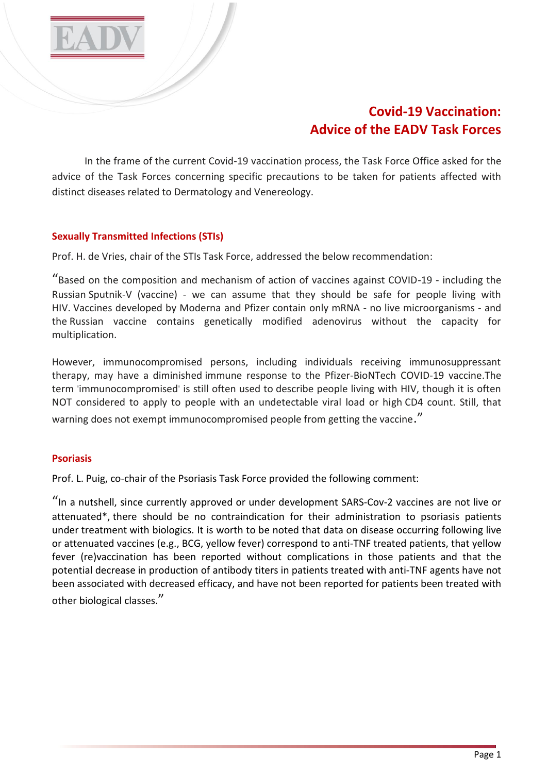

# **Covid-19 Vaccination: Advice of the EADV Task Forces**

In the frame of the current Covid-19 vaccination process, the Task Force Office asked for the advice of the Task Forces concerning specific precautions to be taken for patients affected with distinct diseases related to Dermatology and Venereology.

### **Sexually Transmitted Infections (STIs)**

Prof. H. de Vries, chair of the STIs Task Force, addressed the below recommendation:

"Based on the composition and mechanism of action of vaccines against COVID-19 - including the Russian Sputnik-V (vaccine) - we can assume that they should be safe for people living with HIV. Vaccines developed by Moderna and Pfizer contain only mRNA - no live microorganisms - and the Russian vaccine contains genetically modified adenovirus without the capacity for multiplication.

However, immunocompromised persons, including individuals receiving immunosuppressant therapy, may have a diminished immune response to the Pfizer-BioNTech COVID-19 vaccine.The term 'immunocompromised' is still often used to describe people living with HIV, though it is often NOT considered to apply to people with an undetectable viral load or high CD4 count. Still, that warning does not exempt immunocompromised people from getting the vaccine."

#### **Psoriasis**

Prof. L. Puig, co-chair of the Psoriasis Task Force provided the following comment:

"In a nutshell, since currently approved or under development SARS-Cov-2 vaccines are not live or attenuated\*, there should be no contraindication for their administration to psoriasis patients under treatment with biologics. It is worth to be noted that data on disease occurring following live or attenuated vaccines (e.g., BCG, yellow fever) correspond to anti-TNF treated patients, that yellow fever (re)vaccination has been reported without complications in those patients and that the potential decrease in production of antibody titers in patients treated with anti-TNF agents have not been associated with decreased efficacy, and have not been reported for patients been treated with other biological classes."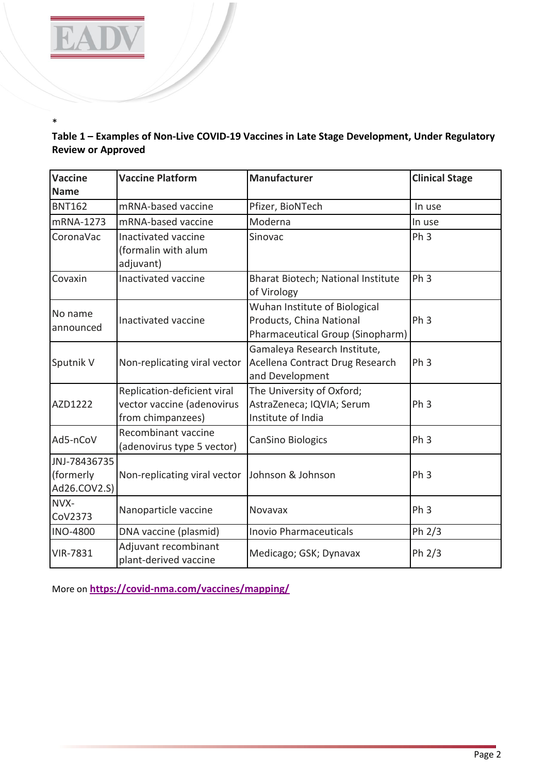

\*

**Table 1 – Examples of Non-Live COVID-19 Vaccines in Late Stage Development, Under Regulatory Review or Approved**

| <b>Vaccine</b><br><b>Name</b>             | <b>Vaccine Platform</b>                                                        | <b>Manufacturer</b>                                                                           | <b>Clinical Stage</b> |
|-------------------------------------------|--------------------------------------------------------------------------------|-----------------------------------------------------------------------------------------------|-----------------------|
| <b>BNT162</b>                             | mRNA-based vaccine                                                             | Pfizer, BioNTech                                                                              | In use                |
| mRNA-1273                                 | mRNA-based vaccine                                                             | Moderna                                                                                       | In use                |
| CoronaVac                                 | Inactivated vaccine<br>(formalin with alum<br>adjuvant)                        | Sinovac                                                                                       | Ph <sub>3</sub>       |
| Covaxin                                   | Inactivated vaccine                                                            | Bharat Biotech; National Institute<br>of Virology                                             | Ph <sub>3</sub>       |
| No name<br>announced                      | Inactivated vaccine                                                            | Wuhan Institute of Biological<br>Products, China National<br>Pharmaceutical Group (Sinopharm) | Ph <sub>3</sub>       |
| Sputnik V                                 | Non-replicating viral vector                                                   | Gamaleya Research Institute,<br>Acellena Contract Drug Research<br>and Development            | Ph <sub>3</sub>       |
| AZD1222                                   | Replication-deficient viral<br>vector vaccine (adenovirus<br>from chimpanzees) | The University of Oxford;<br>AstraZeneca; IQVIA; Serum<br>Institute of India                  | Ph <sub>3</sub>       |
| Ad5-nCoV                                  | Recombinant vaccine<br>(adenovirus type 5 vector)                              | <b>CanSino Biologics</b>                                                                      | Ph <sub>3</sub>       |
| JNJ-78436735<br>(formerly<br>Ad26.COV2.S) | Non-replicating viral vector                                                   | Johnson & Johnson                                                                             | Ph <sub>3</sub>       |
| NVX-<br>CoV2373                           | Nanoparticle vaccine                                                           | Novavax                                                                                       | Ph <sub>3</sub>       |
| <b>INO-4800</b>                           | DNA vaccine (plasmid)                                                          | <b>Inovio Pharmaceuticals</b>                                                                 | Ph 2/3                |
| <b>VIR-7831</b>                           | Adjuvant recombinant<br>plant-derived vaccine                                  | Medicago; GSK; Dynavax                                                                        | Ph 2/3                |

More on **[https://covid-nma.com/vaccines/mapping/](https://emea01.safelinks.protection.outlook.com/?url=https%3A%2F%2Fcovid-nma.com%2Fvaccines%2Fmapping%2F&data=04%7C01%7C%7Ca6f8c3fc6dc14059000708d8b19556c9%7C84df9e7fe9f640afb435aaaaaaaaaaaa%7C1%7C0%7C637454602246288669%7CUnknown%7CTWFpbGZsb3d8eyJWIjoiMC4wLjAwMDAiLCJQIjoiV2luMzIiLCJBTiI6Ik1haWwiLCJXVCI6Mn0%3D%7C1000&sdata=IaOS9vlaC9iZxPN8ScwfBQ4Sis6oQboJWfUI8CfsgsY%3D&reserved=0)**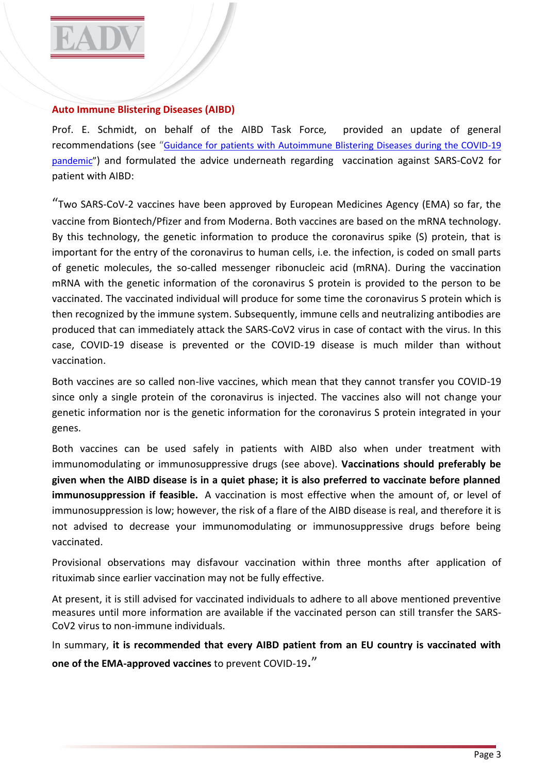

#### **Auto Immune Blistering Diseases (AIBD)**

Prof. E. Schmidt, on behalf of the AIBD Task Force*,* provided an update of general recommendations (see "[Guidance for patients with Autoimmune Blistering Diseases during the COVID-19](https://eadv.org/cms-admin/showfile/AIBD%20Task%20Force%20Recommendation%20-%20Covid-19%20Corner_update2021_01-28-2021-15-04-14.pdf)  [pandemic](https://eadv.org/cms-admin/showfile/AIBD%20Task%20Force%20Recommendation%20-%20Covid-19%20Corner_update2021_01-28-2021-15-04-14.pdf)") and formulated the advice underneath regarding vaccination against SARS-CoV2 for patient with AIBD:

"Two SARS-CoV-2 vaccines have been approved by European Medicines Agency (EMA) so far, the vaccine from Biontech/Pfizer and from Moderna. Both vaccines are based on the mRNA technology. By this technology, the genetic information to produce the coronavirus spike (S) protein, that is important for the entry of the coronavirus to human cells, i.e. the infection, is coded on small parts of genetic molecules, the so-called messenger ribonucleic acid (mRNA). During the vaccination mRNA with the genetic information of the coronavirus S protein is provided to the person to be vaccinated. The vaccinated individual will produce for some time the coronavirus S protein which is then recognized by the immune system. Subsequently, immune cells and neutralizing antibodies are produced that can immediately attack the SARS-CoV2 virus in case of contact with the virus. In this case, COVID-19 disease is prevented or the COVID-19 disease is much milder than without vaccination.

Both vaccines are so called non-live vaccines, which mean that they cannot transfer you COVID-19 since only a single protein of the coronavirus is injected. The vaccines also will not change your genetic information nor is the genetic information for the coronavirus S protein integrated in your genes.

Both vaccines can be used safely in patients with AIBD also when under treatment with immunomodulating or immunosuppressive drugs (see above). **Vaccinations should preferably be given when the AIBD disease is in a quiet phase; it is also preferred to vaccinate before planned immunosuppression if feasible.** A vaccination is most effective when the amount of, or level of immunosuppression is low; however, the risk of a flare of the AIBD disease is real, and therefore it is not advised to decrease your immunomodulating or immunosuppressive drugs before being vaccinated.

Provisional observations may disfavour vaccination within three months after application of rituximab since earlier vaccination may not be fully effective.

At present, it is still advised for vaccinated individuals to adhere to all above mentioned preventive measures until more information are available if the vaccinated person can still transfer the SARS-CoV2 virus to non-immune individuals.

In summary, **it is recommended that every AIBD patient from an EU country is vaccinated with one of the EMA-approved vaccines** to prevent COVID-19."